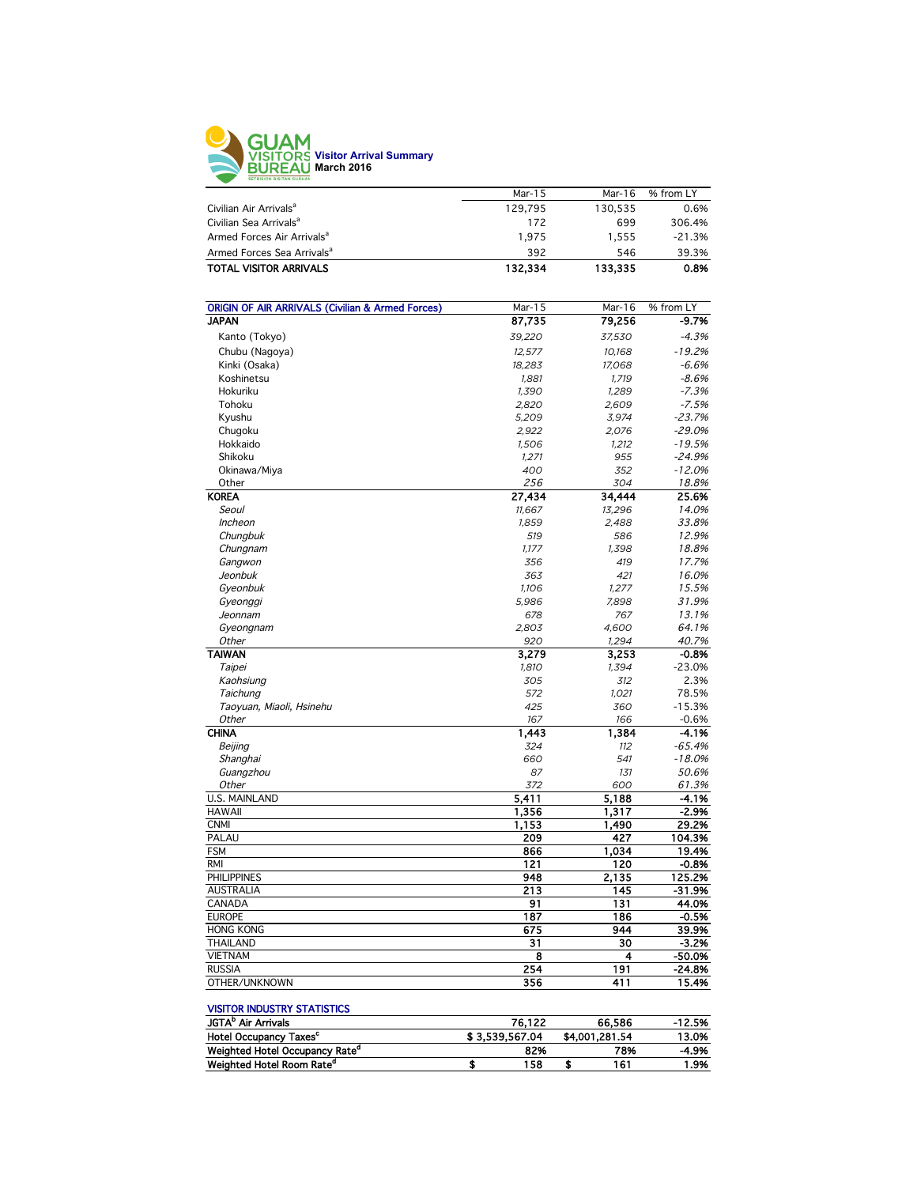

|                                        | Mar-15  | Mar-16  | % from LY |
|----------------------------------------|---------|---------|-----------|
| Civilian Air Arrivals <sup>a</sup>     | 129.795 | 130.535 | 0.6%      |
| Civilian Sea Arrivals <sup>a</sup>     | 172     | 699     | 306.4%    |
| Armed Forces Air Arrivals <sup>a</sup> | 1.975   | 1.555   | $-21.3%$  |
| Armed Forces Sea Arrivals <sup>a</sup> | 392     | 546     | 39.3%     |
| <b>TOTAL VISITOR ARRIVALS</b>          | 132.334 | 133,335 | 0.8%      |
|                                        |         |         |           |

| <b>ORIGIN OF AIR ARRIVALS (Civilian &amp; Armed Forces)</b> | Mar-15           | Mar-16           | % from LY            |
|-------------------------------------------------------------|------------------|------------------|----------------------|
| <b>JAPAN</b>                                                | 87,735           | 79,256           | $-9.7%$              |
| Kanto (Tokyo)                                               | 39,220           | 37,530           | $-4.3%$              |
|                                                             |                  |                  | $-19.2%$             |
| Chubu (Nagoya)<br>Kinki (Osaka)                             | 12,577<br>18,283 | 10,168<br>17,068 | $-6.6%$              |
|                                                             |                  |                  |                      |
| Koshinetsu                                                  | 1,881            | 1,719            | $-8.6%$<br>$-7.3%$   |
| Hokuriku<br>Tohoku                                          | 1,390            | 1,289            | $-7.5%$              |
|                                                             | 2,820            | 2,609            |                      |
| Kyushu                                                      | 5,209            | 3,974            | $-23.7%$             |
| Chugoku<br>Hokkaido                                         | 2,922            | 2,076            | $-29.0%$<br>$-19.5%$ |
|                                                             | 1,506            | 1,212            |                      |
| Shikoku                                                     | 1,271            | 955              | $-24.9%$             |
| Okinawa/Miya                                                | 400              | 352              | $-12.0%$             |
| Other                                                       | 256              | 304              | 18.8%                |
| <b>KOREA</b>                                                | 27,434           | 34,444           | 25.6%                |
| Seoul                                                       | 11,667           | 13,296           | 14.0%                |
| <b>Incheon</b>                                              | 1,859            | 2,488            | 33.8%                |
| Chungbuk                                                    | 519              | 586              | 12.9%                |
| Chungnam                                                    | 1,177            | 1,398            | 18.8%                |
| Gangwon                                                     | 356              | 419              | 17.7%                |
| Jeonbuk                                                     | 363              | 421              | 16.0%                |
| Gyeonbuk                                                    | 1,106            | 1,277            | 15.5%                |
| Gyeonggi                                                    | 5,986            | 7,898            | 31.9%                |
| Jeonnam                                                     | 678              | 767              | 13.1%                |
| Gyeongnam                                                   | 2,803            | 4,600            | 64.1%                |
| Other                                                       | 920              | 1,294            | 40.7%                |
| <b>TAIWAN</b>                                               | 3,279            | 3,253            | $-0.8%$              |
| <b>Taipei</b>                                               | 1,810            | 1,394            | $-23.0%$             |
| Kaohsiung                                                   | 305              | 312              | 2.3%                 |
| Taichung                                                    | 572              | 1,021            | 78.5%                |
| Taoyuan, Miaoli, Hsinehu                                    | 425              | 360              | $-15.3%$             |
| Other                                                       | 167              | 166              | $-0.6%$              |
| <b>CHINA</b>                                                | 1,443            | 1,384            | $-4.1%$              |
| Beijing                                                     | 324              | 112              | $-65.4%$             |
| Shanghai                                                    | 660              | 541              | $-18.0%$             |
| Guangzhou                                                   | 87               | 131              | 50.6%                |
| Other                                                       | 372              | 600              | 61.3%                |
| <b>U.S. MAINLAND</b>                                        | 5,411            | 5,188            | $-4.1%$              |
| <b>HAWAII</b>                                               | 1,356            | 1,317            | $-2.9%$              |
| <b>CNMI</b>                                                 | 1,153            | 1,490            | 29.2%                |
| PALAU                                                       | 209              | 427              | 104.3%               |
| <b>FSM</b>                                                  | 866              | 1,034            | 19.4%                |
| <b>RMI</b>                                                  | 121              | 120              | $-0.8%$              |
| <b>PHILIPPINES</b>                                          | 948              | 2,135            | 125.2%               |
| <b>AUSTRALIA</b>                                            | 213              | 145              | $-31.9%$             |
| CANADA                                                      | 91               | 13 <sub>1</sub>  | 44.0%                |
| <b>EUROPE</b>                                               | 187              | 186              | $-0.5%$              |
| <b>HONG KONG</b>                                            | 675              | 944              | 39.9%                |
| <b>THAILAND</b>                                             | 31               | 30               | $-3.2%$              |
| <b>VIETNAM</b>                                              | 8                | 4                | $-50.0%$             |
| <b>RUSSIA</b>                                               | 254              | 191              | $-24.8%$             |
| OTHER/UNKNOWN                                               | 356              | 411              | 15.4%                |

## VISITOR INDUSTRY STATISTICS

| <b>JGTA</b> <sup>b</sup> Air Arrivals      | 76.122         | 66.586         | $-12.5%$ |
|--------------------------------------------|----------------|----------------|----------|
| <b>Hotel Occupancy Taxes<sup>c</sup></b>   | \$3.539.567.04 | \$4,001,281.54 | 13.0%    |
| Weighted Hotel Occupancy Rate <sup>a</sup> | 82%            | 78%            | $-4.9%$  |
| Weighted Hotel Room Rate <sup>"</sup>      | 158            | 161            | 1.9%     |
|                                            |                |                |          |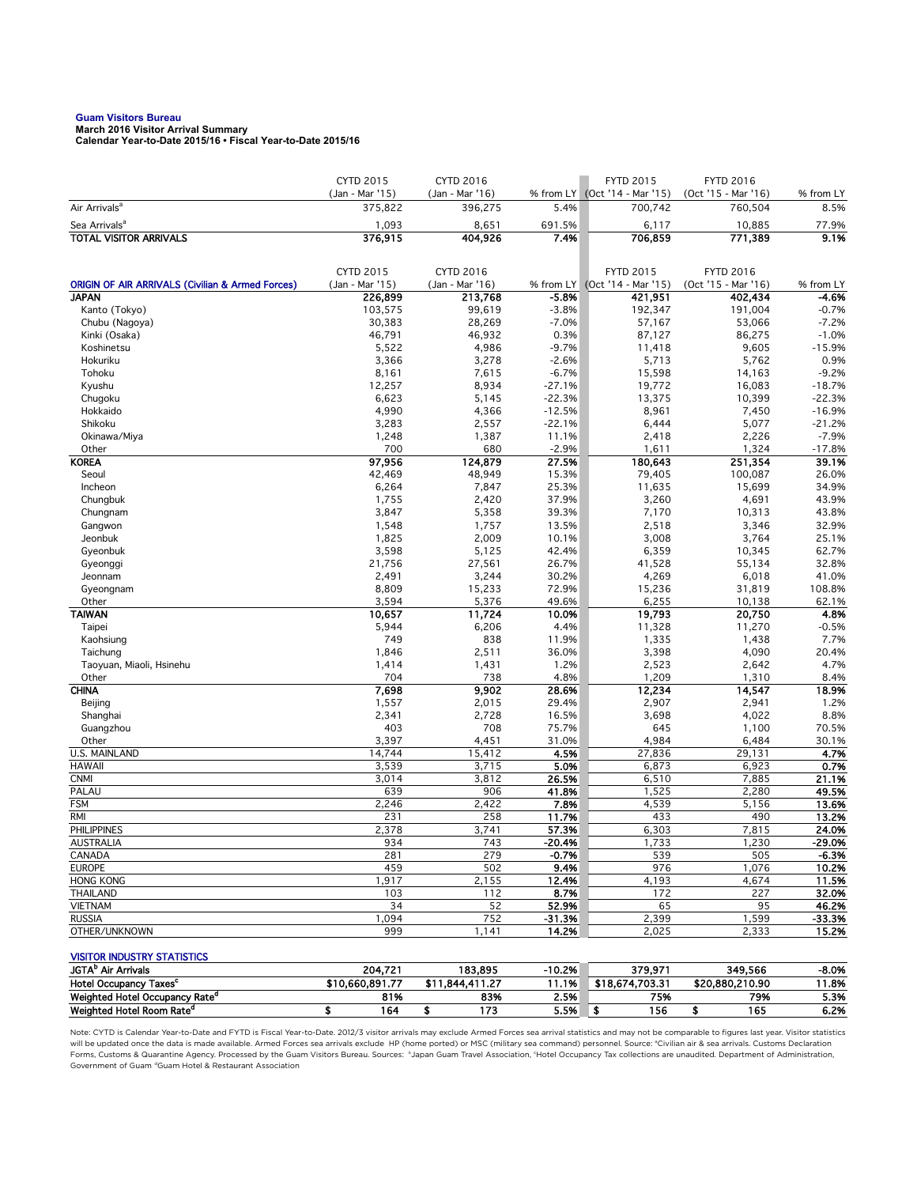## **Guam Visitors Bureau**

**March 2016 Visitor Arrival Summary Calendar Year-to-Date 2015/16 • Fiscal Year-to-Date 2015/16** 

|                                                                             | <b>CYTD 2015</b>           | <b>CYTD 2016</b>           |                      | <b>FYTD 2015</b>                 | <b>FYTD 2016</b>               |                    |
|-----------------------------------------------------------------------------|----------------------------|----------------------------|----------------------|----------------------------------|--------------------------------|--------------------|
|                                                                             | (Jan - Mar '15)            | (Jan - Mar '16)            |                      | % from LY (Oct '14 - Mar '15)    | (Oct '15 - Mar '16)            | % from LY          |
| Air Arrivals <sup>a</sup>                                                   | 375,822                    | 396,275                    | 5.4%                 | 700,742                          | 760,504                        | 8.5%               |
| Sea Arrivals <sup>a</sup>                                                   | 1,093                      | 8,651                      | 691.5%               | 6,117                            | 10,885                         | 77.9%              |
| <b>TOTAL VISITOR ARRIVALS</b>                                               | 376,915                    | 404,926                    | 7.4%                 | 706,859                          | 771,389                        | 9.1%               |
|                                                                             |                            |                            |                      |                                  |                                |                    |
|                                                                             | CYTD 2015                  | <b>CYTD 2016</b>           |                      | <b>FYTD 2015</b>                 | <b>FYTD 2016</b>               |                    |
| <b>ORIGIN OF AIR ARRIVALS (Civilian &amp; Armed Forces)</b><br><b>JAPAN</b> | (Jan - Mar '15)<br>226,899 | (Jan - Mar '16)<br>213,768 | % from LY<br>$-5.8%$ | (Oct '14 - Mar '15)<br>421,951   | (Oct '15 - Mar '16)<br>402,434 | % from LY<br>-4.6% |
| Kanto (Tokyo)                                                               | 103,575                    | 99,619                     | $-3.8%$              | 192,347                          | 191,004                        | $-0.7%$            |
| Chubu (Nagoya)                                                              | 30,383                     | 28,269                     | $-7.0%$              | 57,167                           | 53,066                         | $-7.2%$            |
| Kinki (Osaka)                                                               | 46,791                     | 46,932                     | 0.3%                 | 87,127                           | 86,275                         | $-1.0%$            |
| Koshinetsu                                                                  | 5,522                      | 4,986                      | $-9.7%$              | 11,418                           | 9,605                          | $-15.9%$           |
| Hokuriku                                                                    | 3,366                      | 3,278                      | $-2.6%$              | 5,713                            | 5,762                          | 0.9%               |
| Tohoku                                                                      | 8,161                      | 7,615                      | $-6.7%$              | 15,598                           | 14,163                         | $-9.2%$            |
| Kyushu                                                                      | 12,257                     | 8,934                      | $-27.1%$             | 19,772                           | 16,083                         | $-18.7%$           |
| Chugoku                                                                     | 6,623                      | 5,145                      | $-22.3%$             | 13,375                           | 10,399                         | $-22.3%$           |
| Hokkaido                                                                    | 4,990                      | 4,366                      | $-12.5%$             | 8,961                            | 7,450                          | $-16.9%$           |
| Shikoku                                                                     | 3,283                      | 2,557                      | $-22.1%$             | 6,444                            | 5,077                          | $-21.2%$           |
| Okinawa/Miya                                                                | 1,248                      | 1,387                      | 11.1%                | 2,418                            | 2,226                          | $-7.9%$            |
| Other                                                                       | 700                        | 680                        | $-2.9%$              | 1,611                            | 1,324                          | $-17.8%$           |
| <b>KOREA</b>                                                                | 97,956                     | 124,879                    | 27.5%                | 180,643                          | 251,354                        | 39.1%              |
| Seoul                                                                       | 42,469                     | 48,949                     | 15.3%                | 79,405                           | 100,087                        | 26.0%              |
| Incheon                                                                     | 6,264                      | 7,847                      | 25.3%                | 11,635                           | 15,699                         | 34.9%              |
| Chungbuk                                                                    | 1,755                      | 2,420                      | 37.9%                | 3,260                            | 4,691                          | 43.9%              |
| Chungnam                                                                    | 3,847                      | 5,358                      | 39.3%                | 7,170                            | 10,313                         | 43.8%              |
| Gangwon                                                                     | 1,548                      | 1,757                      | 13.5%                | 2,518                            | 3,346                          | 32.9%              |
| Jeonbuk                                                                     | 1,825                      | 2,009                      | 10.1%<br>42.4%       | 3,008                            | 3,764                          | 25.1%<br>62.7%     |
| Gyeonbuk                                                                    | 3,598<br>21,756            | 5,125<br>27,561            | 26.7%                | 6,359<br>41,528                  | 10,345<br>55,134               | 32.8%              |
| Gyeonggi<br>Jeonnam                                                         | 2,491                      | 3,244                      | 30.2%                | 4,269                            | 6,018                          | 41.0%              |
| Gyeongnam                                                                   | 8,809                      | 15,233                     | 72.9%                | 15,236                           | 31,819                         | 108.8%             |
| Other                                                                       | 3,594                      | 5,376                      | 49.6%                | 6,255                            | 10.138                         | 62.1%              |
| <b>TAIWAN</b>                                                               | 10,657                     | 11,724                     | 10.0%                | 19,793                           | 20,750                         | 4.8%               |
| Taipei                                                                      | 5,944                      | 6,206                      | 4.4%                 | 11,328                           | 11,270                         | $-0.5%$            |
| Kaohsiung                                                                   | 749                        | 838                        | 11.9%                | 1,335                            | 1,438                          | 7.7%               |
| Taichung                                                                    | 1,846                      | 2,511                      | 36.0%                | 3,398                            | 4,090                          | 20.4%              |
| Taoyuan, Miaoli, Hsinehu                                                    | 1,414                      | 1,431                      | 1.2%                 | 2,523                            | 2,642                          | 4.7%               |
| Other                                                                       | 704                        | 738                        | 4.8%                 | 1,209                            | 1,310                          | 8.4%               |
| <b>CHINA</b>                                                                | 7,698                      | 9,902                      | 28.6%                | 12,234                           | 14,547                         | 18.9%              |
| Beijing                                                                     | 1,557                      | 2,015                      | 29.4%                | 2,907                            | 2,941                          | 1.2%               |
| Shanghai                                                                    | 2,341                      | 2,728                      | 16.5%                | 3,698                            | 4,022                          | 8.8%               |
| Guangzhou                                                                   | 403                        | 708                        | 75.7%                | 645                              | 1,100                          | 70.5%              |
| Other                                                                       | 3,397                      | 4,451                      | 31.0%                | 4,984                            | 6,484                          | 30.1%              |
| <b>U.S. MAINLAND</b><br><b>HAWAII</b>                                       | 14,744                     | 15,412                     | 4.5%                 | 27,836                           | 29,131                         | 4.7%               |
| <b>CNMI</b>                                                                 | 3,539<br>3,014             | 3,715<br>3,812             | 5.0%<br>26.5%        | 6,873<br>6,510                   | 6,923<br>7,885                 | 0.7%<br>21.1%      |
| PALAU                                                                       | 639                        | 906                        | 41.8%                | 1,525                            | 2,280                          | 49.5%              |
| <b>FSM</b>                                                                  | 2,246                      | 2,422                      | 7.8%                 | 4,539                            | 5,156                          | 13.6%              |
| <b>RMI</b>                                                                  | 231                        | 258                        | 11.7%                | 433                              | 490                            | 13.2%              |
| <b>PHILIPPINES</b>                                                          | 2,378                      | 3,741                      | 57.3%                | 6,303                            | 7,815                          | 24.0%              |
| AUSTRALIA                                                                   | 934                        | 743                        | -20.4%               | 1,733                            | 1,230                          | -29.0%             |
| CANADA                                                                      | 281                        | 279                        | $-0.7%$              | 539                              | 505                            | $-6.3%$            |
| <b>EUROPE</b>                                                               | 459                        | 502                        | 9.4%                 | 976                              | 1,076                          | 10.2%              |
| <b>HONG KONG</b>                                                            | 1,917                      | 2,155                      | 12.4%                | 4,193                            | 4,674                          | 11.5%              |
| <b>THAILAND</b>                                                             | 103                        | 112                        | 8.7%                 | 172                              | 227                            | 32.0%              |
| <b>VIETNAM</b>                                                              | 34                         | 52                         | 52.9%                | 65                               | 95                             | 46.2%              |
| <b>RUSSIA</b>                                                               | 1,094                      | 752                        | $-31.3%$             | 2,399                            | 1,599                          | $-33.3%$           |
| OTHER/UNKNOWN                                                               | 999                        | 1,141                      | 14.2%                | 2,025                            | 2,333                          | 15.2%              |
|                                                                             |                            |                            |                      |                                  |                                |                    |
| <b>VISITOR INDUSTRY STATISTICS</b><br>JGTA <sup>b</sup> Air Arrivals        | 204,721                    |                            | $-10.2%$             |                                  |                                |                    |
| Hotel Occupancy Taxes <sup>c</sup>                                          | \$10,660,891.77            | 183,895<br>\$11,844,411.27 |                      | 379,971<br>11.1% \$18,674,703.31 | 349,566<br>\$20,880,210.90     | $-8.0%$<br>11.8%   |
|                                                                             |                            |                            |                      |                                  |                                |                    |

Note: CYTD is Calendar Year-to-Date and FYTD is Fiscal Year-to-Date. 2012/3 visitor arrivals may exclude Armed Forces sea arrival statistics and may not be comparable to figures last year. Visitor statistics will be updated once the data is made available. Armed Forces sea arrivals exclude HP (home ported) or MSC (military sea command) personnel. Source: °Civilian air & sea arrivals. Customs Declaration<br>Forms, Customs & Quaran Government of Guam dGuam Hotel & Restaurant Association

Weighted Hotel Occupancy Rate<sup>d</sup> 81% 83% 2.5% 75% 5.3% Weighted Hotel Room Rate<sup>d</sup> \$ 164 \$ 173 5.5% \$ 156 \$ 165 6.2%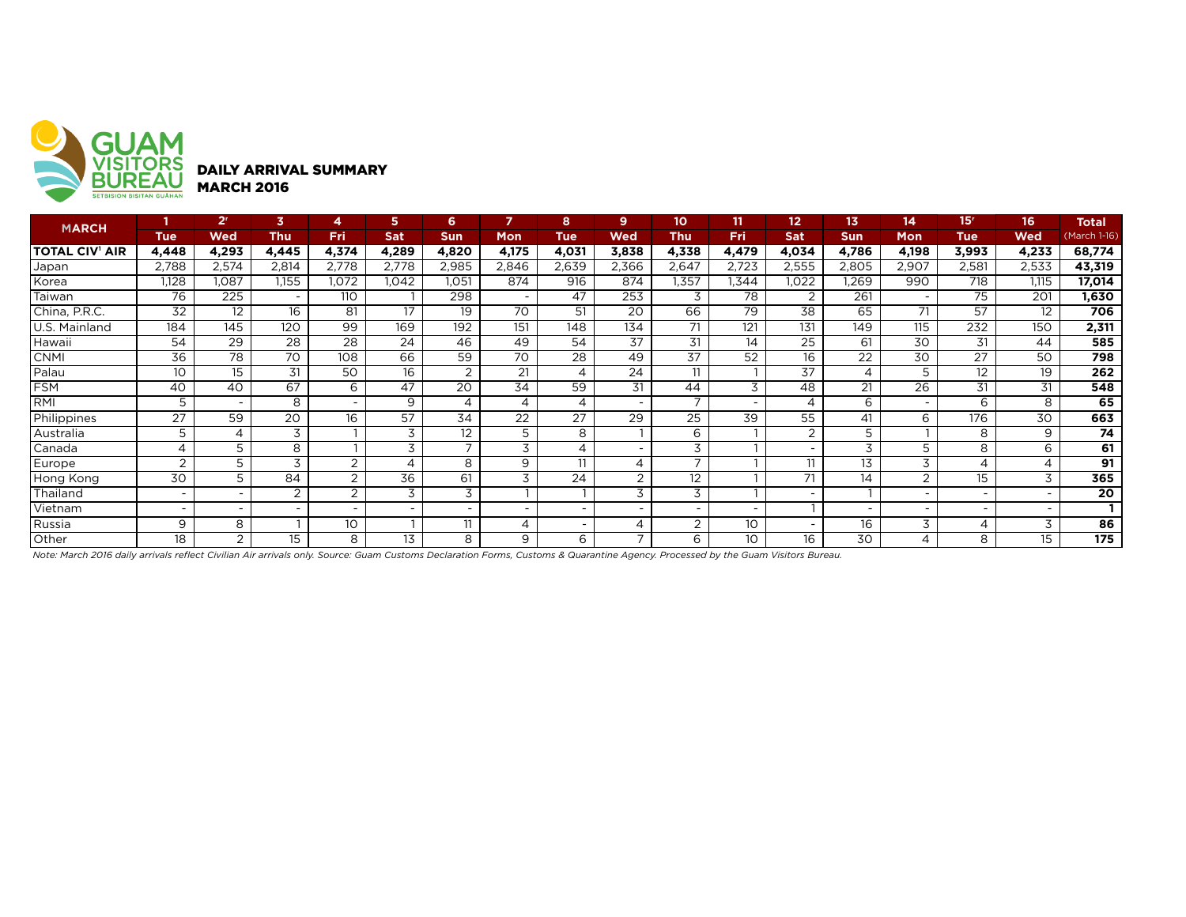

| <b>MARCH</b>          |                          | 2 <sup>r</sup>           | 3                        | 4                        | 5                        | 6              |                 | 8                        | 9                        | 10    | 11              | $12 \overline{ }$        | 13                       | 14                       | 15 <sup>r</sup>   | 16    | <b>Total</b> |
|-----------------------|--------------------------|--------------------------|--------------------------|--------------------------|--------------------------|----------------|-----------------|--------------------------|--------------------------|-------|-----------------|--------------------------|--------------------------|--------------------------|-------------------|-------|--------------|
|                       | <b>Tue</b>               | <b>Wed</b>               | <b>Thu</b>               | Fri                      | Sat                      | <b>Sun</b>     | <b>Mon</b>      | <b>Tue</b>               | Wed                      | Thu   | Fri             | Sat                      | <b>Sun</b>               | Mon                      | <b>Tue</b>        | Wed   | (March 1-16) |
| <b>TOTAL CIV' AIR</b> | 4,448                    | 4,293                    | 4,445                    | 4,374                    | 4,289                    | 4,820          | 4,175           | 4,031                    | 3,838                    | 4,338 | 4,479           | 4,034                    | 4,786                    | 4,198                    | 3,993             | 4,233 | 68,774       |
| Japan                 | 2,788                    | 2,574                    | 2,814                    | 2,778                    | 2,778                    | 2,985          | 2,846           | 2,639                    | 2,366                    | 2,647 | 2,723           | 2,555                    | 2,805                    | 2,907                    | 2,581             | 2,533 | 43,319       |
| Korea                 | 1.128                    | 1,087                    | 1,155                    | 1,072                    | 1,042                    | 1,051          | 874             | 916                      | 874                      | 1,357 | .344            | 1,022                    | ,269                     | 990                      | 718               | 1.115 | 17,014       |
| Taiwan                | 76                       | 225                      | $\overline{\phantom{0}}$ | 110                      |                          | 298            |                 | 47                       | 253                      | 3     | 78              | 2                        | 261                      |                          | 75                | 201   | 1,630        |
| China, P.R.C.         | 32                       | 12                       | 16                       | 81                       | 17                       | 19             | 70              | 51                       | 20                       | 66    | 79              | 38                       | 65                       | 71                       | 57                | 12    | 706          |
| U.S. Mainland         | 184                      | 145                      | 120                      | 99                       | 169                      | 192            | 151             | 148                      | 134                      | 71    | 121             | 131                      | 149                      | 115                      | 232               | 150   | 2,311        |
| Hawaii                | 54                       | 29                       | 28                       | 28                       | 24                       | 46             | 49              | 54                       | $\overline{37}$          | 31    | 14              | 25                       | 61                       | 30                       | 31                | 44    | 585          |
| <b>CNMI</b>           | $\overline{36}$          | 78                       | 70                       | 108                      | 66                       | 59             | 70              | 28                       | 49                       | 37    | $\overline{52}$ | 16                       | 22                       | 30                       | 27                | 50    | 798          |
| Palau                 | 10 <sup>°</sup>          | 15                       | 31                       | 50                       | 16                       | 2              | 21              | 4                        | 24                       | 11    |                 | 37                       | 4                        | 5                        | $12 \overline{ }$ | 19    | 262          |
| <b>FSM</b>            | 40                       | 40                       | 67                       | 6                        | 47                       | 20             | $3\overline{4}$ | 59                       | 31                       | 44    | 3               | 48                       | 21                       | 26                       | 31                | 31    | 548          |
| IRMI                  | 5                        | $\overline{\phantom{0}}$ | 8                        | $\overline{\phantom{0}}$ | 9                        | $\overline{4}$ | 4               | 4                        | $\overline{\phantom{0}}$ |       |                 | $\overline{4}$           | 6                        | $\overline{\phantom{0}}$ | 6                 | 8     | 65           |
| Philippines           | 27                       | 59                       | 20                       | 16                       | 57                       | 34             | 22              | 27                       | 29                       | 25    | 39              | 55                       | 41                       | 6                        | 176               | 30    | 663          |
| Australia             | 5                        | 4                        | 3                        |                          | 3                        | 12             |                 | 8                        |                          | 6     |                 | 2                        | 5                        |                          | 8                 | 9     | 74           |
| Canada                | 4                        | 5                        | 8                        |                          | 3                        | $\overline{ }$ | 3               | 4                        | $\overline{\phantom{0}}$ | 3     |                 | $\overline{\phantom{0}}$ | 3                        | 5                        | 8                 | 6     | 61           |
| Europe                | 2                        | 5                        | 3                        | 2                        | 4                        | 8              | 9               | 11                       | 4                        |       |                 | 11                       | 13                       | 3                        | 4                 | 4     | 91           |
| Hong Kong             | 30                       | 5                        | 84                       | 2                        | 36                       | 61             | 3               | 24                       | 2                        | 12    |                 | 71                       | 14                       | 2                        | 15                | 3     | 365          |
| Thailand              | $\overline{\phantom{a}}$ | $\overline{\phantom{a}}$ | 2                        | 2                        | 3                        | 3              |                 |                          | 3                        | 3     |                 |                          |                          | $\overline{\phantom{a}}$ |                   |       | 20           |
| Vietnam               | $\overline{\phantom{a}}$ | $\overline{\phantom{0}}$ | $\overline{a}$           |                          | $\overline{\phantom{a}}$ |                |                 |                          |                          |       |                 |                          | $\overline{\phantom{0}}$ | $\overline{\phantom{0}}$ |                   |       |              |
| Russia                | 9                        | 8                        |                          | 10                       |                          | 11             |                 | $\overline{\phantom{0}}$ | 4                        | ົ     | 10 <sup>°</sup> | $\overline{\phantom{0}}$ | 16                       | 3                        | 4                 | 3     | 86           |
| Other                 | 18                       | 2                        | 15                       | 8                        | 13                       | 8              | 9               | 6                        | ⇁                        | 6     | 10 <sup>°</sup> | 16                       | 30                       | 4                        | 8                 | 15    | 175          |

*Note: March 2016 daily arrivals reflect Civilian Air arrivals only. Source: Guam Customs Declaration Forms, Customs & Quarantine Agency. Processed by the Guam Visitors Bureau.*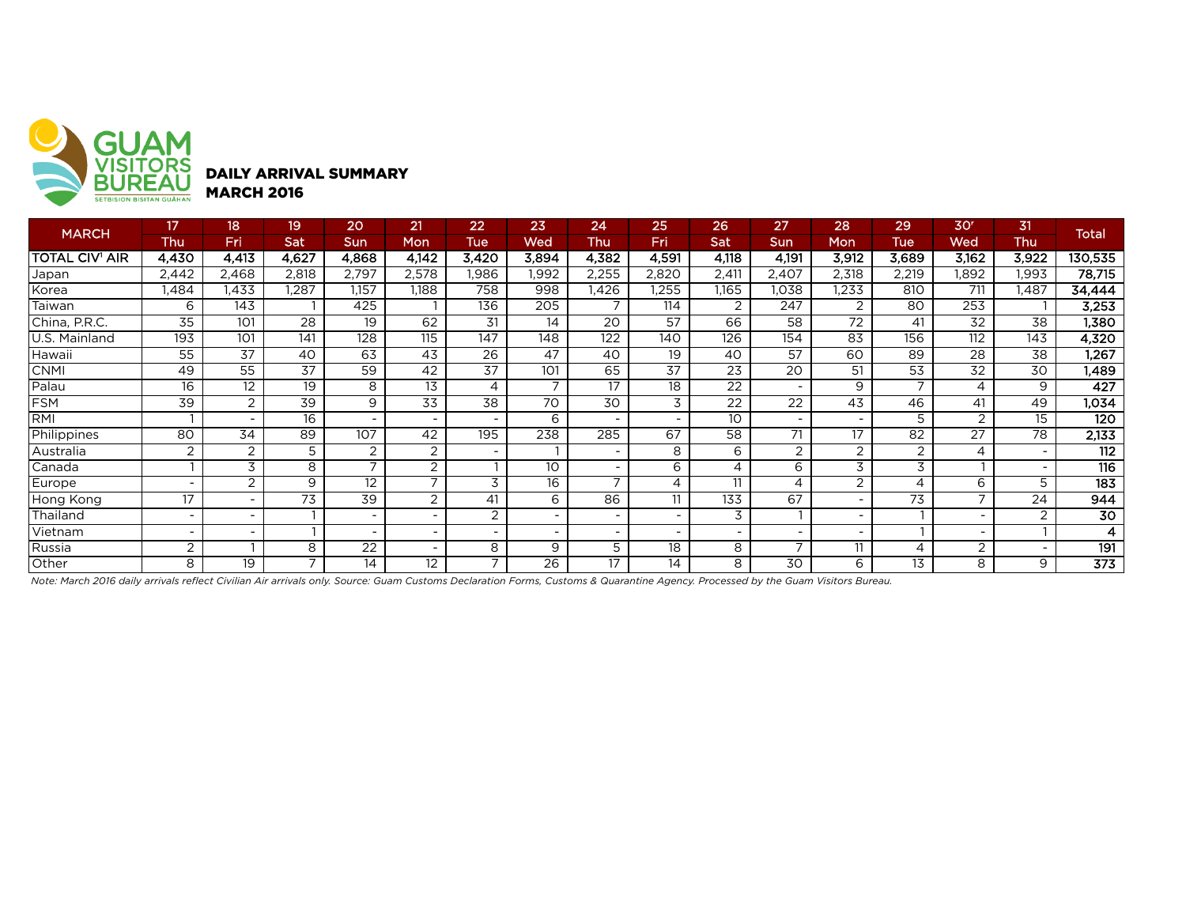

DAILY ARRIVAL SUMMARY MARCH 2016

|                | 17                       | 18    | 19                       | 20                       | 21                       | 22                       | 23                       | 24                       | 25                       | 26                       | 27                       | 28                       | 29    | 30 <sup>r</sup> | 31                       |                  |
|----------------|--------------------------|-------|--------------------------|--------------------------|--------------------------|--------------------------|--------------------------|--------------------------|--------------------------|--------------------------|--------------------------|--------------------------|-------|-----------------|--------------------------|------------------|
| <b>MARCH</b>   | Thu                      | Fri   | Sat                      | Sun                      | Mon                      | Tue                      | Wed                      | Thu                      | Fri                      | <b>Sat</b>               | <b>Sun</b>               | Mon                      | Tue   | Wed             | Thu                      | <b>Total</b>     |
| TOTAL CIV' AIR | 4.430                    | 4,413 | 4.627                    | 4,868                    | 4,142                    | 3,420                    | 3,894                    | 4,382                    | 4.591                    | 4,118                    | 4,191                    | 3,912                    | 3,689 | 3.162           | 3,922                    | 130,535          |
| Japan          | 2,442                    | 2,468 | 2,818                    | 2,797                    | 2,578                    | ,986                     | .992                     | 2,255                    | 2,820                    | 2,411                    | 2,407                    | 2,318                    | 2,219 | .892            | 1,993                    | 78,715           |
| Korea          | ,484                     | .433  | ,287                     | 1,157                    | 1,188                    | 758                      | 998                      | .426                     | .255                     | 1,165                    | 1,038                    | 1,233                    | 810   | 711             | .487                     | 34,444           |
| Taiwan         | 6                        | 143   |                          | 425                      |                          | 136                      | 205                      | $\overline{\phantom{a}}$ | 114                      | 2                        | 247                      | 2                        | 80    | 253             |                          | 3,253            |
| China, P.R.C.  | 35                       | 101   | 28                       | 19                       | 62                       | 31                       | 14                       | 20                       | 57                       | 66                       | 58                       | 72                       | 41    | 32              | 38                       | 1,380            |
| U.S. Mainland  | 193                      | 101   | 141                      | 128                      | 115                      | 147                      | 148                      | 122                      | 140                      | 126                      | 154                      | 83                       | 156   | 112             | 143                      | 4,320            |
| Hawaii         | 55                       | 37    | 40                       | 63                       | 43                       | 26                       | 47                       | 40                       | 19                       | 40                       | 57                       | 60                       | 89    | 28              | 38                       | 1,267            |
| <b>CNMI</b>    | 49                       | 55    | 37                       | 59                       | 42                       | 37                       | 101                      | 65                       | 37                       | 23                       | 20                       | 51                       | 53    | 32              | 30                       | 1,489            |
| Palau          | 16                       | 12    | 19                       | 8                        | 13                       | 4                        |                          | 17                       | 18                       | 22                       | $\overline{\phantom{a}}$ | 9                        |       | 4               | 9                        | 427              |
| FSM            | 39                       | 2     | 39                       | 9                        | 33                       | 38                       | 70                       | 30                       | 3                        | $\overline{22}$          | $\overline{22}$          | 43                       | 46    | 41              | 49                       | 1,034            |
| RMI            |                          |       | 16                       | $\overline{\phantom{a}}$ |                          |                          | 6                        | -                        | $\overline{\phantom{a}}$ | 10                       | <b>.</b>                 |                          | 5.    | 2               | 15                       | 120              |
| Philippines    | 80                       | 34    | 89                       | 107                      | 42                       | 195                      | 238                      | 285                      | 67                       | 58                       | 71                       | 17                       | 82    | 27              | 78                       | 2,133            |
| Australia      | 2                        | 2     | 5                        | 2                        | 2                        |                          |                          |                          | 8                        | 6                        | 2                        | 2                        | 2     | 4               | $\sim$                   | 112              |
| Canada         |                          | 3     | 8                        | $\overline{ }$           | $\overline{2}$           |                          | $10^{-}$                 | $\blacksquare$           | 6                        | 4                        | 6                        | 3                        | 3     |                 | $\sim$                   | 116              |
| Europe         |                          | 2     | 9                        | 12                       | $\overline{\phantom{0}}$ | 3                        | 16                       | $\overline{\phantom{0}}$ | 4                        | 11                       | 4                        | $\overline{2}$           |       | 6               | 5                        | 183              |
| Hong Kong      | 17                       |       | 73                       | 39                       | $\overline{2}$           | 41                       | 6                        | 86                       | 11                       | 133                      | 67                       |                          | 73    |                 | 24                       | 944              |
| Thailand       | $\overline{\phantom{a}}$ |       |                          | $\overline{\phantom{a}}$ |                          | 2                        | $\overline{\phantom{a}}$ | $\overline{\phantom{a}}$ | $\sim$                   | 3                        |                          | $\overline{\phantom{a}}$ |       |                 | 2                        | 30               |
| Vietnam        |                          |       |                          | $\overline{\phantom{a}}$ | ٠                        |                          | $\overline{\phantom{a}}$ | $\overline{\phantom{a}}$ | $\overline{\phantom{a}}$ | $\overline{\phantom{a}}$ |                          |                          |       |                 |                          | 4                |
| Russia         | $\overline{2}$           |       | 8                        | $\overline{22}$          | ٠                        | 8                        | 9                        | 5                        | $\overline{18}$          | 8                        | $\overline{ }$           | 11                       | 4     | 2               | $\overline{\phantom{a}}$ | 191              |
| Other          | 8                        | 19    | $\overline{\phantom{a}}$ | 14                       | 12                       | $\overline{\phantom{a}}$ | $\overline{26}$          | 17                       | 14                       | 8                        | $\overline{30}$          | 6                        | 13    | 8               | 9                        | $\overline{373}$ |

*Note: March 2016 daily arrivals reflect Civilian Air arrivals only. Source: Guam Customs Declaration Forms, Customs & Quarantine Agency. Processed by the Guam Visitors Bureau.*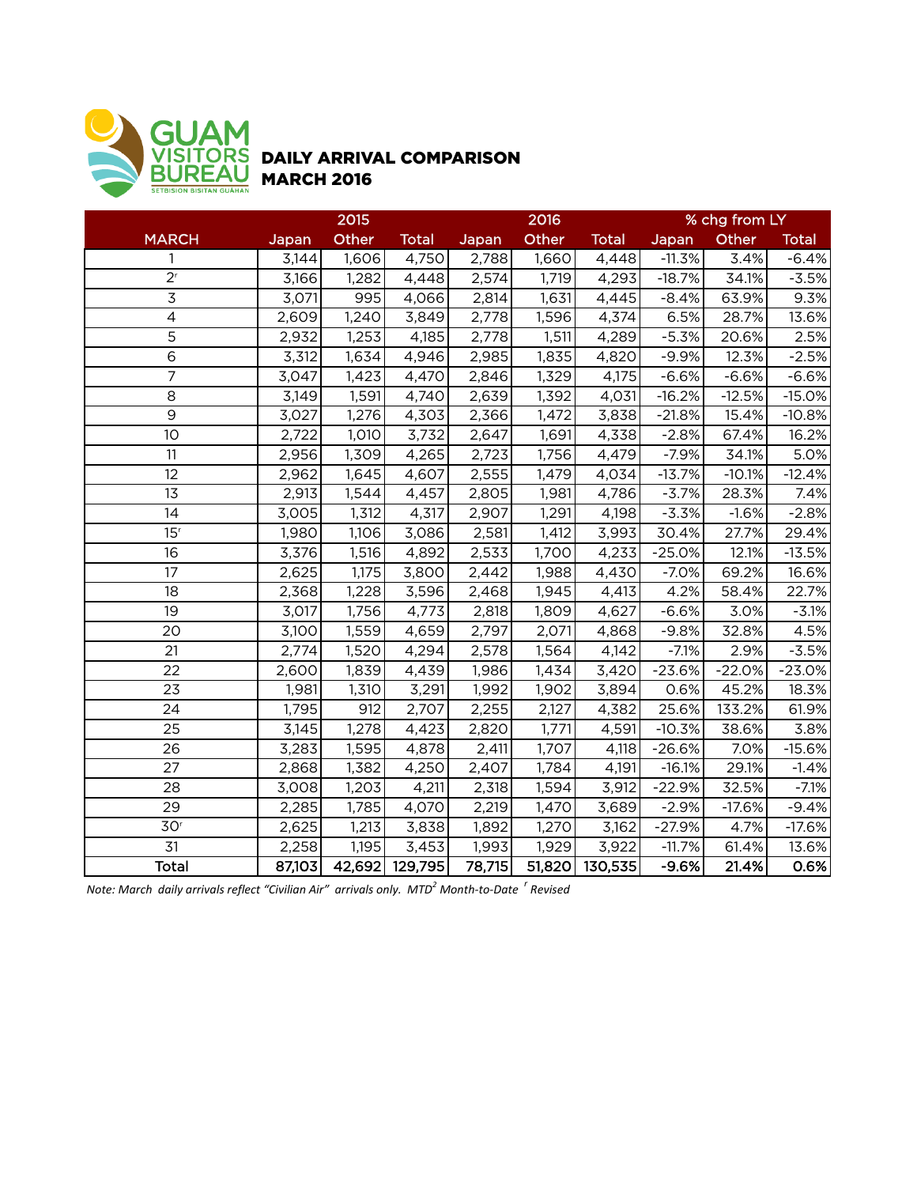

## DAILY ARRIVAL COMPARISON MARCH 2016

|                 | 2015   |        |              |        | 2016   |              | % chg from LY |          |              |  |
|-----------------|--------|--------|--------------|--------|--------|--------------|---------------|----------|--------------|--|
| <b>MARCH</b>    | Japan  | Other  | <b>Total</b> | Japan  | Other  | <b>Total</b> | Japan         | Other    | <b>Total</b> |  |
| $\mathbf{1}$    | 3,144  | 1,606  | 4,750        | 2,788  | 1,660  | 4,448        | $-11.3%$      | 3.4%     | $-6.4%$      |  |
| $2^{r}$         | 3,166  | 1,282  | 4,448        | 2,574  | 1,719  | 4,293        | $-18.7%$      | 34.1%    | $-3.5%$      |  |
| 3               | 3,071  | 995    | 4,066        | 2,814  | 1,631  | 4,445        | $-8.4%$       | 63.9%    | 9.3%         |  |
| $\overline{4}$  | 2,609  | 1,240  | 3,849        | 2,778  | 1,596  | 4,374        | 6.5%          | 28.7%    | 13.6%        |  |
| $\overline{5}$  | 2,932  | 1,253  | 4,185        | 2,778  | 1,511  | 4,289        | $-5.3%$       | 20.6%    | 2.5%         |  |
| $\overline{6}$  | 3,312  | 1,634  | 4,946        | 2,985  | 1,835  | 4,820        | $-9.9%$       | 12.3%    | $-2.5%$      |  |
| $\overline{7}$  | 3,047  | 1,423  | 4,470        | 2,846  | 1,329  | 4,175        | $-6.6%$       | $-6.6%$  | $-6.6%$      |  |
| 8               | 3,149  | 1,591  | 4,740        | 2,639  | 1,392  | 4,031        | $-16.2%$      | $-12.5%$ | $-15.0%$     |  |
| $\overline{9}$  | 3,027  | 1,276  | 4,303        | 2,366  | 1,472  | 3,838        | $-21.8%$      | 15.4%    | $-10.8%$     |  |
| 10              | 2,722  | 1,010  | 3,732        | 2,647  | 1,691  | 4,338        | $-2.8%$       | 67.4%    | 16.2%        |  |
| 11              | 2,956  | 1,309  | 4,265        | 2,723  | 1,756  | 4,479        | $-7.9%$       | 34.1%    | 5.0%         |  |
| 12              | 2,962  | 1,645  | 4,607        | 2,555  | 1,479  | 4,034        | $-13.7%$      | $-10.1%$ | $-12.4%$     |  |
| 13              | 2,913  | 1,544  | 4,457        | 2,805  | 1,981  | 4,786        | $-3.7%$       | 28.3%    | 7.4%         |  |
| 14              | 3,005  | 1,312  | 4,317        | 2,907  | 1,291  | 4,198        | $-3.3%$       | $-1.6%$  | $-2.8%$      |  |
| 15 <sup>r</sup> | 1,980  | 1,106  | 3,086        | 2,581  | 1,412  | 3,993        | 30.4%         | 27.7%    | 29.4%        |  |
| 16              | 3,376  | 1,516  | 4,892        | 2,533  | 1,700  | 4,233        | $-25.0%$      | 12.1%    | $-13.5%$     |  |
| 17              | 2,625  | 1,175  | 3,800        | 2,442  | 1,988  | 4,430        | $-7.0%$       | 69.2%    | 16.6%        |  |
| 18              | 2,368  | 1,228  | 3,596        | 2,468  | 1,945  | 4,413        | 4.2%          | 58.4%    | 22.7%        |  |
| 19              | 3,017  | 1,756  | 4,773        | 2,818  | 1,809  | 4,627        | $-6.6%$       | 3.0%     | $-3.1%$      |  |
| 20              | 3,100  | 1,559  | 4,659        | 2,797  | 2,071  | 4,868        | $-9.8%$       | 32.8%    | 4.5%         |  |
| 21              | 2,774  | 1,520  | 4,294        | 2,578  | 1,564  | 4,142        | $-7.1%$       | 2.9%     | $-3.5%$      |  |
| 22              | 2,600  | 1,839  | 4,439        | 1,986  | 1,434  | 3,420        | $-23.6%$      | $-22.0%$ | $-23.0%$     |  |
| 23              | 1,981  | 1,310  | 3,291        | 1,992  | 1,902  | 3,894        | 0.6%          | 45.2%    | 18.3%        |  |
| $\overline{24}$ | 1,795  | 912    | 2,707        | 2,255  | 2,127  | 4,382        | 25.6%         | 133.2%   | 61.9%        |  |
| 25              | 3,145  | 1,278  | 4,423        | 2,820  | 1,771  | 4,591        | $-10.3%$      | 38.6%    | 3.8%         |  |
| 26              | 3,283  | 1,595  | 4,878        | 2,411  | 1,707  | 4,118        | $-26.6%$      | 7.0%     | $-15.6%$     |  |
| 27              | 2,868  | 1,382  | 4,250        | 2,407  | 1,784  | 4,191        | $-16.1%$      | 29.1%    | $-1.4%$      |  |
| 28              | 3,008  | 1,203  | 4,211        | 2,318  | 1,594  | 3,912        | $-22.9%$      | 32.5%    | $-7.1%$      |  |
| 29              | 2,285  | 1,785  | 4,070        | 2,219  | 1,470  | 3,689        | $-2.9%$       | $-17.6%$ | $-9.4%$      |  |
| 30 <sup>r</sup> | 2,625  | 1,213  | 3,838        | 1,892  | 1,270  | 3,162        | $-27.9%$      | 4.7%     | $-17.6%$     |  |
| 31              | 2,258  | 1,195  | 3,453        | 1,993  | 1,929  | 3,922        | $-11.7%$      | 61.4%    | 13.6%        |  |
| Total           | 87,103 | 42,692 | 129,795      | 78,715 | 51,820 | 130,535      | $-9.6%$       | 21.4%    | 0.6%         |  |

*Note: March daily arrivals reflect "Civilian Air" arrivals only. MTD<sup>2</sup> Month-to-Date <sup>r</sup> Revised*